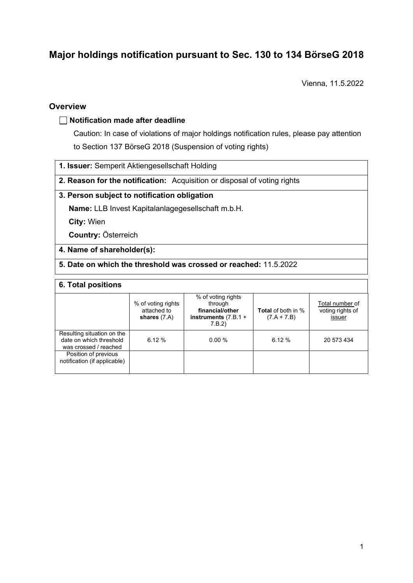# **Major holdings notification pursuant to Sec. 130 to 134 BörseG 2018**

Vienna, 11.5.2022

### **Overview**

#### **Notification made after deadline**

Caution: In case of violations of major holdings notification rules, please pay attention to Section 137 BörseG 2018 (Suspension of voting rights)

- **1. Issuer:** Semperit Aktiengesellschaft Holding
- **2. Reason for the notification:** Acquisition or disposal of voting rights

### **3. Person subject to notification obligation**

**Name:** LLB Invest Kapitalanlagegesellschaft m.b.H.

**City:** Wien

**Country:** Österreich

- **4. Name of shareholder(s):**
- **5. Date on which the threshold was crossed or reached:** 11.5.2022

#### **6. Total positions**

|                                                                                | % of voting rights<br>attached to<br>shares $(7.A)$ | % of voting rights<br>through<br>financial/other<br>instruments $(7.B.1 +$<br>7.B.2) | <b>Total</b> of both in %<br>$(7.A + 7.B)$ | Total number of<br>voting rights of<br>issuer |
|--------------------------------------------------------------------------------|-----------------------------------------------------|--------------------------------------------------------------------------------------|--------------------------------------------|-----------------------------------------------|
| Resulting situation on the<br>date on which threshold<br>was crossed / reached | 6.12%                                               | $0.00 \%$                                                                            | 6.12%                                      | 20 573 434                                    |
| Position of previous<br>notification (if applicable)                           |                                                     |                                                                                      |                                            |                                               |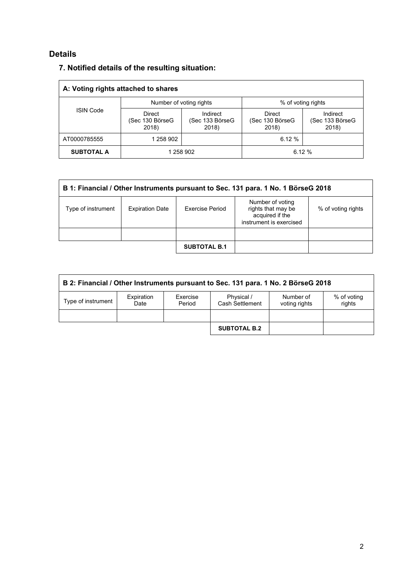### **Details**

| A: Voting rights attached to shares |                                    |                                      |                                           |                                      |  |
|-------------------------------------|------------------------------------|--------------------------------------|-------------------------------------------|--------------------------------------|--|
| <b>ISIN Code</b>                    | Number of voting rights            |                                      | % of voting rights                        |                                      |  |
|                                     | Direct<br>(Sec 130 BörseG<br>2018) | Indirect<br>(Sec 133 BörseG<br>2018) | <b>Direct</b><br>(Sec 130 BörseG<br>2018) | Indirect<br>(Sec 133 BörseG<br>2018) |  |
| AT0000785555                        | 1 258 902                          |                                      | 6.12%                                     |                                      |  |
| <b>SUBTOTAL A</b>                   | 1 258 902                          |                                      | 6.12%                                     |                                      |  |

## **7. Notified details of the resulting situation:**

| B 1: Financial / Other Instruments pursuant to Sec. 131 para. 1 No. 1 BörseG 2018 |                        |                        |                                                                                      |                    |  |
|-----------------------------------------------------------------------------------|------------------------|------------------------|--------------------------------------------------------------------------------------|--------------------|--|
| Type of instrument                                                                | <b>Expiration Date</b> | <b>Exercise Period</b> | Number of voting<br>rights that may be<br>acquired if the<br>instrument is exercised | % of voting rights |  |
|                                                                                   |                        |                        |                                                                                      |                    |  |
|                                                                                   |                        | <b>SUBTOTAL B.1</b>    |                                                                                      |                    |  |

| B 2: Financial / Other Instruments pursuant to Sec. 131 para. 1 No. 2 BörseG 2018 |                    |                    |                               |                            |                       |
|-----------------------------------------------------------------------------------|--------------------|--------------------|-------------------------------|----------------------------|-----------------------|
| Type of instrument                                                                | Expiration<br>Date | Exercise<br>Period | Physical /<br>Cash Settlement | Number of<br>voting rights | % of voting<br>rights |
|                                                                                   |                    |                    |                               |                            |                       |
|                                                                                   |                    |                    | <b>SUBTOTAL B.2</b>           |                            |                       |